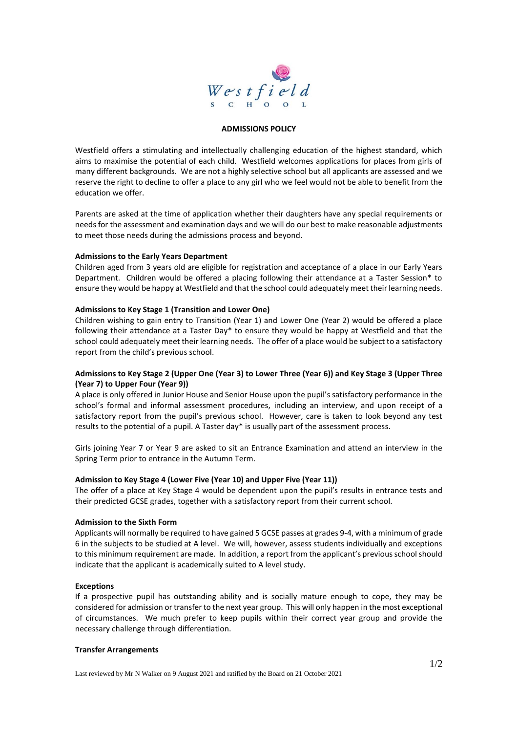

### **ADMISSIONS POLICY**

Westfield offers a stimulating and intellectually challenging education of the highest standard, which aims to maximise the potential of each child. Westfield welcomes applications for places from girls of many different backgrounds. We are not a highly selective school but all applicants are assessed and we reserve the right to decline to offer a place to any girl who we feel would not be able to benefit from the education we offer.

Parents are asked at the time of application whether their daughters have any special requirements or needs for the assessment and examination days and we will do our best to make reasonable adjustments to meet those needs during the admissions process and beyond.

## **Admissions to the Early Years Department**

Children aged from 3 years old are eligible for registration and acceptance of a place in our Early Years Department. Children would be offered a placing following their attendance at a Taster Session\* to ensure they would be happy at Westfield and that the school could adequately meet their learning needs.

## **Admissions to Key Stage 1 (Transition and Lower One)**

Children wishing to gain entry to Transition (Year 1) and Lower One (Year 2) would be offered a place following their attendance at a Taster Day\* to ensure they would be happy at Westfield and that the school could adequately meet their learning needs. The offer of a place would be subject to a satisfactory report from the child's previous school.

# **Admissions to Key Stage 2 (Upper One (Year 3) to Lower Three (Year 6)) and Key Stage 3 (Upper Three (Year 7) to Upper Four (Year 9))**

A place is only offered in Junior House and Senior House upon the pupil's satisfactory performance in the school's formal and informal assessment procedures, including an interview, and upon receipt of a satisfactory report from the pupil's previous school. However, care is taken to look beyond any test results to the potential of a pupil. A Taster day\* is usually part of the assessment process.

Girls joining Year 7 or Year 9 are asked to sit an Entrance Examination and attend an interview in the Spring Term prior to entrance in the Autumn Term.

# **Admission to Key Stage 4 (Lower Five (Year 10) and Upper Five (Year 11))**

The offer of a place at Key Stage 4 would be dependent upon the pupil's results in entrance tests and their predicted GCSE grades, together with a satisfactory report from their current school.

#### **Admission to the Sixth Form**

Applicants will normally be required to have gained 5 GCSE passes at grades 9-4, with a minimum of grade 6 in the subjects to be studied at A level. We will, however, assess students individually and exceptions to this minimum requirement are made. In addition, a report from the applicant's previous school should indicate that the applicant is academically suited to A level study.

#### **Exceptions**

If a prospective pupil has outstanding ability and is socially mature enough to cope, they may be considered for admission or transfer to the next year group. This will only happen in the most exceptional of circumstances. We much prefer to keep pupils within their correct year group and provide the necessary challenge through differentiation.

#### **Transfer Arrangements**